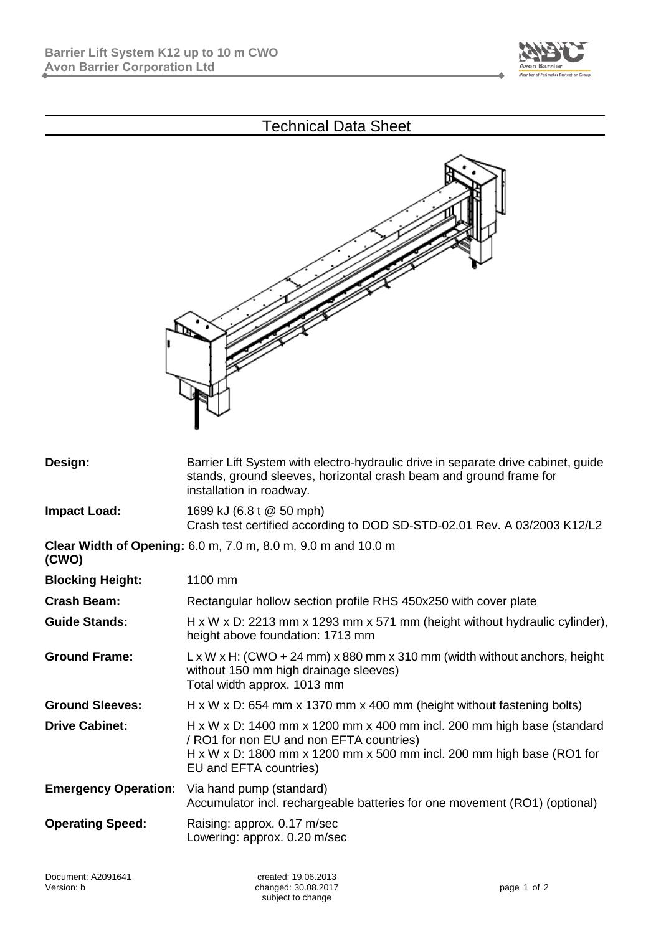

## Technical Data Sheet